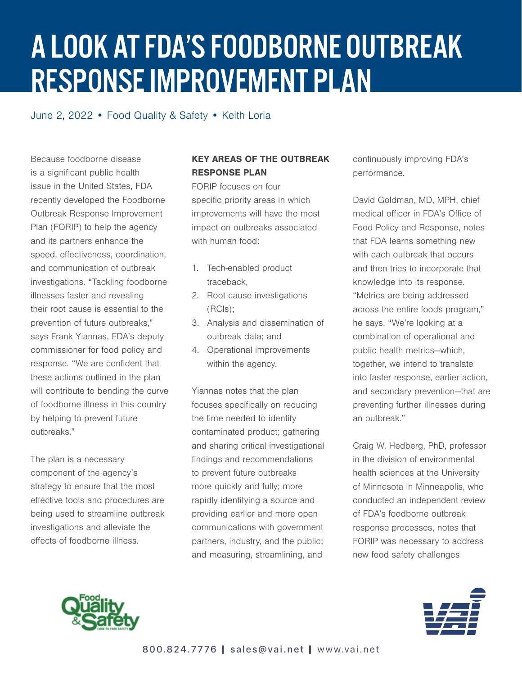## A LOOK AT FDA'S FOODBORNE OUTBREAK RESPONSE IMPROVEMENT PLAN

June 2, 2022 • Food Quality & Safety • Keith Loria

Because foodborne disease is a significant public health issue in the United States, FDA recently developed the Foodborne Outbreak Response Improvement Plan (FORIP) to help the agency and its partners enhance the speed, effectiveness, coordination, and communication of outbreak investigations. "Tackling foodborne illnesses faster and revealing their root cause is essential to the prevention of future outbreaks," says Frank Yiannas, FDA's deputy commissioner for food policy and response. "We are confident that these actions outlined in the plan will contribute to bending the curve of foodborne illness in this country by helping to prevent future outbreaks."

The plan is a necessary component of the agency's strategy to ensure that the most effective tools and procedures are being used to streamline outbreak investigations and alleviate the effects of foodborne illness.

## KEY AREAS OF THE OUTBREAK RESPONSE PLAN

FORIP focuses on four specific priority areas in which improvements will have the most impact on outbreaks associated with human food:

- 1. Tech-enabled product traceback,
- 2. Root cause investigations (RCIs);
- 3. Analysis and dissemination of outbreak data; and
- 4. Operational improvements within the agency.

Yiannas notes that the plan focuses specifically on reducing the time needed to identify contaminated product; gathering and sharing critical investigational findings and recommendations to prevent future outbreaks more quickly and fully; more rapidly identifying a source and providing earlier and more open communications with government partners, industry, and the public; and measuring, streamlining, and

continuously improving FDA's performance.

David Goldman, MD, MPH, chief medical officer in FDA's Office of Food Policy and Response, notes that FDA learns something new with each outbreak that occurs and then tries to incorporate that knowledge into its response. "Metrics are being addressed across the entire foods program," he says. "We're looking at a combination of operational and public health metrics—which, together, we intend to translate into faster response, earlier action, and secondary prevention—that are preventing further illnesses during an outbreak."

Craig W. Hedberg, PhD, professor in the division of environmental health sciences at the University of Minnesota in Minneapolis, who conducted an independent review of FDA's foodborne outbreak response processes, notes that FORIP was necessary to address new food safety challenges



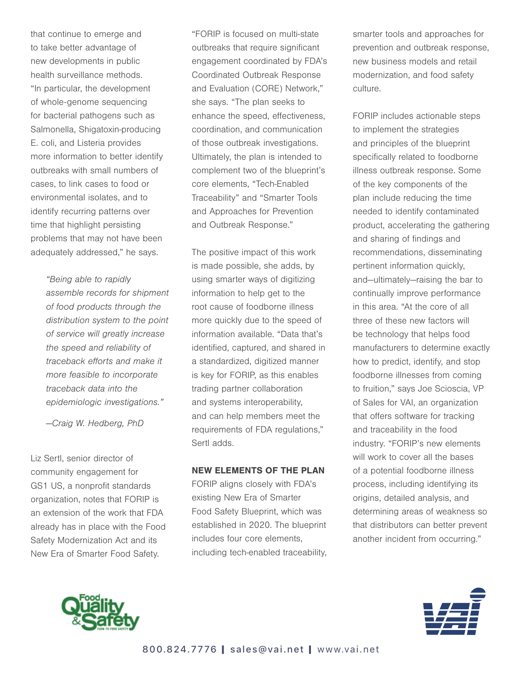that continue to emerge and to take better advantage of new developments in public health surveillance methods. "In particular, the development of whole-genome sequencing for bacterial pathogens such as Salmonella, Shigatoxin-producing E. coli, and Listeria provides more information to better identify outbreaks with small numbers of cases, to link cases to food or environmental isolates, and to identify recurring patterns over time that highlight persisting problems that may not have been adequately addressed," he says.

> "Being able to rapidly assemble records for shipment of food products through the distribution system to the point of service will greatly increase the speed and reliability of traceback efforts and make it more feasible to incorporate traceback data into the epidemiologic investigations."

—Craig W. Hedberg, PhD

Liz Sertl, senior director of community engagement for GS1 US, a nonprofit standards organization, notes that FORIP is an extension of the work that FDA already has in place with the Food Safety Modernization Act and its New Era of Smarter Food Safety.

"FORIP is focused on multi-state outbreaks that require significant engagement coordinated by FDA's Coordinated Outbreak Response and Evaluation (CORE) Network," she says. "The plan seeks to enhance the speed, effectiveness, coordination, and communication of those outbreak investigations. Ultimately, the plan is intended to complement two of the blueprint's core elements, "Tech-Enabled Traceability" and "Smarter Tools and Approaches for Prevention and Outbreak Response."

The positive impact of this work is made possible, she adds, by using smarter ways of digitizing information to help get to the root cause of foodborne illness more quickly due to the speed of information available. "Data that's identified, captured, and shared in a standardized, digitized manner is key for FORIP, as this enables trading partner collaboration and systems interoperability, and can help members meet the requirements of FDA regulations," Sertl adds.

## NEW ELEMENTS OF THE PLAN

FORIP aligns closely with FDA's existing New Era of Smarter Food Safety Blueprint, which was established in 2020. The blueprint includes four core elements, including tech-enabled traceability, smarter tools and approaches for prevention and outbreak response, new business models and retail modernization, and food safety culture.

FORIP includes actionable steps to implement the strategies and principles of the blueprint specifically related to foodborne illness outbreak response. Some of the key components of the plan include reducing the time needed to identify contaminated product, accelerating the gathering and sharing of findings and recommendations, disseminating pertinent information quickly, and—ultimately—raising the bar to continually improve performance in this area. "At the core of all three of these new factors will be technology that helps food manufacturers to determine exactly how to predict, identify, and stop foodborne illnesses from coming to fruition," says Joe Scioscia, VP of Sales for VAI, an organization that offers software for tracking and traceability in the food industry. "FORIP's new elements will work to cover all the bases of a potential foodborne illness process, including identifying its origins, detailed analysis, and determining areas of weakness so that distributors can better prevent another incident from occurring."